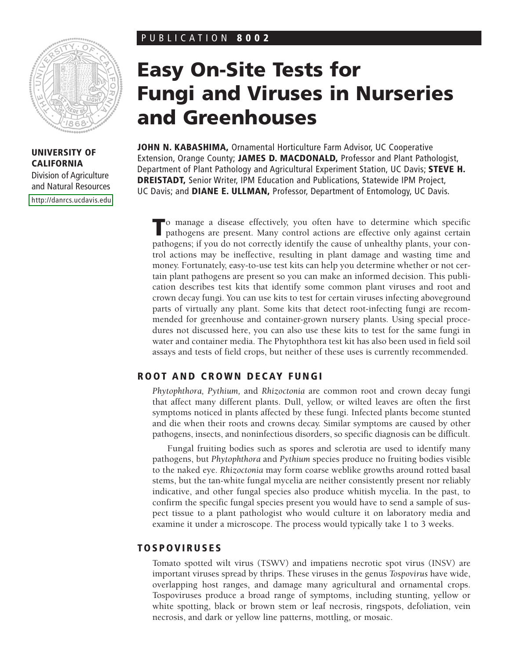# PUBLICATION **8002**



**UNIVERSITY OF CALIFORNIA** Division of Agriculture and Natural Resources [http://danrcs.ucdavis.edu](http://commserv.ucdavis.edu/freepub/)

# **Easy On-Site Tests for Fungi and Viruses in Nurseries and Greenhouses**

**JOHN N. KABASHIMA,** Ornamental Horticulture Farm Advisor, UC Cooperative Extension, Orange County; **JAMES D. MACDONALD,** Professor and Plant Pathologist, Department of Plant Pathology and Agricultural Experiment Station, UC Davis; **STEVE H. DREISTADT,** Senior Writer, IPM Education and Publications, Statewide IPM Project, UC Davis; and **DIANE E. ULLMAN,** Professor, Department of Entomology, UC Davis.

**T**o manage a disease effectively, you often have to determine which specific pathogens are present. Many control actions are effective only against certain pathogens; if you do not correctly identify the cause of unhealthy plants, your control actions may be ineffective, resulting in plant damage and wasting time and money. Fortunately, easy-to-use test kits can help you determine whether or not certain plant pathogens are present so you can make an informed decision. This publication describes test kits that identify some common plant viruses and root and crown decay fungi. You can use kits to test for certain viruses infecting aboveground parts of virtually any plant. Some kits that detect root-infecting fungi are recommended for greenhouse and container-grown nursery plants. Using special procedures not discussed here, you can also use these kits to test for the same fungi in water and container media. The Phytophthora test kit has also been used in field soil assays and tests of field crops, but neither of these uses is currently recommended.

# **ROOT AND CROWN DECAY FUNGI**

*Phytophthora, Pythium,* and *Rhizoctonia* are common root and crown decay fungi that affect many different plants. Dull, yellow, or wilted leaves are often the first symptoms noticed in plants affected by these fungi. Infected plants become stunted and die when their roots and crowns decay. Similar symptoms are caused by other pathogens, insects, and noninfectious disorders, so specific diagnosis can be difficult.

Fungal fruiting bodies such as spores and sclerotia are used to identify many pathogens, but *Phytophthora* and *Pythium* species produce no fruiting bodies visible to the naked eye. *Rhizoctonia* may form coarse weblike growths around rotted basal stems, but the tan-white fungal mycelia are neither consistently present nor reliably indicative, and other fungal species also produce whitish mycelia. In the past, to confirm the specific fungal species present you would have to send a sample of suspect tissue to a plant pathologist who would culture it on laboratory media and examine it under a microscope. The process would typically take 1 to 3 weeks.

# **TOSPOVIRUSES**

Tomato spotted wilt virus (TSWV) and impatiens necrotic spot virus (INSV) are important viruses spread by thrips. These viruses in the genus *Tospovirus* have wide, overlapping host ranges, and damage many agricultural and ornamental crops. Tospoviruses produce a broad range of symptoms, including stunting, yellow or white spotting, black or brown stem or leaf necrosis, ringspots, defoliation, vein necrosis, and dark or yellow line patterns, mottling, or mosaic.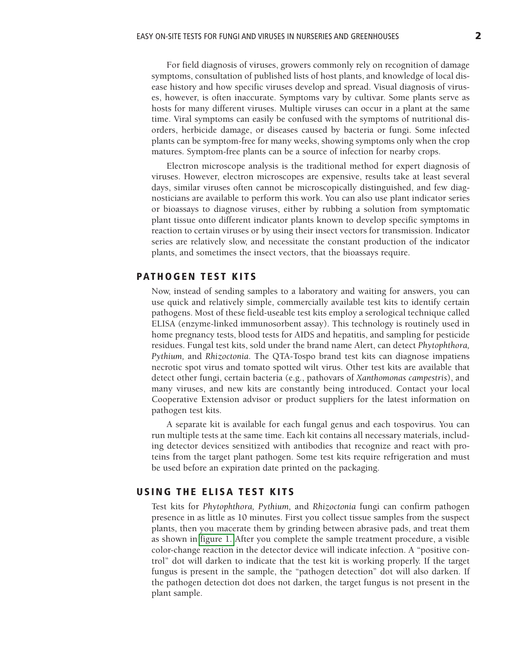For field diagnosis of viruses, growers commonly rely on recognition of damage symptoms, consultation of published lists of host plants, and knowledge of local disease history and how specific viruses develop and spread. Visual diagnosis of viruses, however, is often inaccurate. Symptoms vary by cultivar. Some plants serve as hosts for many different viruses. Multiple viruses can occur in a plant at the same time. Viral symptoms can easily be confused with the symptoms of nutritional disorders, herbicide damage, or diseases caused by bacteria or fungi. Some infected plants can be symptom-free for many weeks, showing symptoms only when the crop matures. Symptom-free plants can be a source of infection for nearby crops.

Electron microscope analysis is the traditional method for expert diagnosis of viruses. However, electron microscopes are expensive, results take at least several days, similar viruses often cannot be microscopically distinguished, and few diagnosticians are available to perform this work. You can also use plant indicator series or bioassays to diagnose viruses, either by rubbing a solution from symptomatic plant tissue onto different indicator plants known to develop specific symptoms in reaction to certain viruses or by using their insect vectors for transmission. Indicator series are relatively slow, and necessitate the constant production of the indicator plants, and sometimes the insect vectors, that the bioassays require.

## **PATHOGEN TEST KITS**

Now, instead of sending samples to a laboratory and waiting for answers, you can use quick and relatively simple, commercially available test kits to identify certain pathogens. Most of these field-useable test kits employ a serological technique called ELISA (enzyme-linked immunosorbent assay). This technology is routinely used in home pregnancy tests, blood tests for AIDS and hepatitis, and sampling for pesticide residues. Fungal test kits, sold under the brand name Alert, can detect *Phytophthora, Pythium,* and *Rhizoctonia*. The QTA-Tospo brand test kits can diagnose impatiens necrotic spot virus and tomato spotted wilt virus. Other test kits are available that detect other fungi, certain bacteria (e.g., pathovars of *Xanthomonas campestris*), and many viruses, and new kits are constantly being introduced. Contact your local Cooperative Extension advisor or product suppliers for the latest information on pathogen test kits.

A separate kit is available for each fungal genus and each tospovirus. You can run multiple tests at the same time. Each kit contains all necessary materials, including detector devices sensitized with antibodies that recognize and react with proteins from the target plant pathogen. Some test kits require refrigeration and must be used before an expiration date printed on the packaging.

### **USING THE ELISA TEST KITS**

Test kits for *Phytophthora, Pythium,* and *Rhizoctonia* fungi can confirm pathogen presence in as little as 10 minutes. First you collect tissue samples from the suspect plants, then you macerate them by grinding between abrasive pads, and treat them as shown in [figure 1.](#page-2-0) After you complete the sample treatment procedure, a visible color-change reaction in the detector device will indicate infection. A "positive control" dot will darken to indicate that the test kit is working properly. If the target fungus is present in the sample, the "pathogen detection" dot will also darken. If the pathogen detection dot does not darken, the target fungus is not present in the plant sample.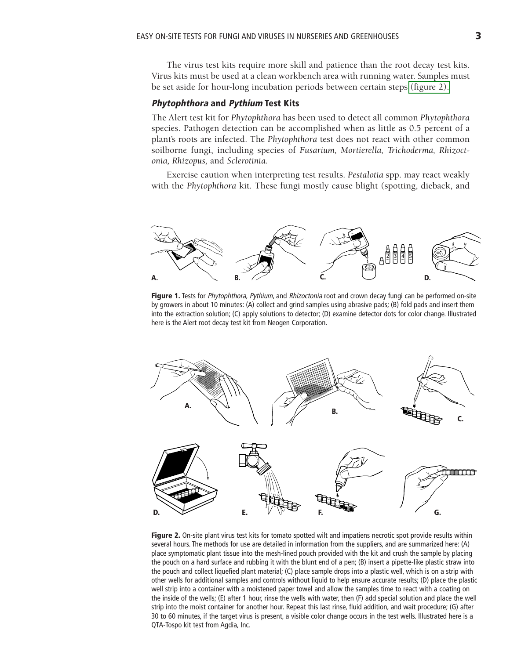<span id="page-2-0"></span>The virus test kits require more skill and patience than the root decay test kits. Virus kits must be used at a clean workbench area with running water. Samples must be set aside for hour-long incubation periods between certain steps (figure 2).

#### **Phytophthora and Pythium Test Kits**

The Alert test kit for *Phytophthora* has been used to detect all common *Phytophthora* species. Pathogen detection can be accomplished when as little as 0.5 percent of a plant's roots are infected. The *Phytophthora* test does not react with other common soilborne fungi, including species of *Fusarium, Mortierella, Trichoderma, Rhizoctonia, Rhizopus,* and *Sclerotinia.*

Exercise caution when interpreting test results. *Pestalotia* spp. may react weakly with the *Phytophthora* kit. These fungi mostly cause blight (spotting, dieback, and



**Figure 1.** Tests for Phytophthora, Pythium, and Rhizoctonia root and crown decay fungi can be performed on-site by growers in about 10 minutes: (A) collect and grind samples using abrasive pads; (B) fold pads and insert them into the extraction solution; (C) apply solutions to detector; (D) examine detector dots for color change. Illustrated here is the Alert root decay test kit from Neogen Corporation.



**Figure 2.** On-site plant virus test kits for tomato spotted wilt and impatiens necrotic spot provide results within several hours. The methods for use are detailed in information from the suppliers, and are summarized here: (A) place symptomatic plant tissue into the mesh-lined pouch provided with the kit and crush the sample by placing the pouch on a hard surface and rubbing it with the blunt end of a pen; (B) insert a pipette-like plastic straw into the pouch and collect liquefied plant material; (C) place sample drops into a plastic well, which is on a strip with other wells for additional samples and controls without liquid to help ensure accurate results; (D) place the plastic well strip into a container with a moistened paper towel and allow the samples time to react with a coating on the inside of the wells; (E) after 1 hour, rinse the wells with water, then (F) add special solution and place the well strip into the moist container for another hour. Repeat this last rinse, fluid addition, and wait procedure; (G) after 30 to 60 minutes, if the target virus is present, a visible color change occurs in the test wells. Illustrated here is a QTA-Tospo kit test from Agdia, Inc.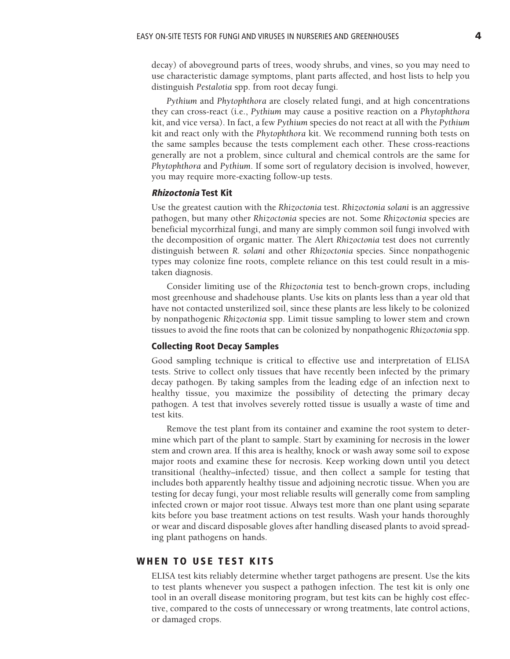decay) of aboveground parts of trees, woody shrubs, and vines, so you may need to use characteristic damage symptoms, plant parts affected, and host lists to help you distinguish *Pestalotia* spp. from root decay fungi.

*Pythium* and *Phytophthora* are closely related fungi, and at high concentrations they can cross-react (i.e., *Pythium* may cause a positive reaction on a *Phytophthora* kit, and vice versa). In fact, a few *Pythium* species do not react at all with the *Pythium* kit and react only with the *Phytophthora* kit. We recommend running both tests on the same samples because the tests complement each other. These cross-reactions generally are not a problem, since cultural and chemical controls are the same for *Phytophthora* and *Pythium*. If some sort of regulatory decision is involved, however, you may require more-exacting follow-up tests.

#### **Rhizoctonia Test Kit**

Use the greatest caution with the *Rhizoctonia* test. *Rhizoctonia solani* is an aggressive pathogen, but many other *Rhizoctonia* species are not. Some *Rhizoctonia* species are beneficial mycorrhizal fungi, and many are simply common soil fungi involved with the decomposition of organic matter. The Alert *Rhizoctonia* test does not currently distinguish between *R. solani* and other *Rhizoctonia* species. Since nonpathogenic types may colonize fine roots, complete reliance on this test could result in a mistaken diagnosis.

Consider limiting use of the *Rhizoctonia* test to bench-grown crops, including most greenhouse and shadehouse plants. Use kits on plants less than a year old that have not contacted unsterilized soil, since these plants are less likely to be colonized by nonpathogenic *Rhizoctonia* spp. Limit tissue sampling to lower stem and crown tissues to avoid the fine roots that can be colonized by nonpathogenic *Rhizoctonia* spp.

#### **Collecting Root Decay Samples**

Good sampling technique is critical to effective use and interpretation of ELISA tests. Strive to collect only tissues that have recently been infected by the primary decay pathogen. By taking samples from the leading edge of an infection next to healthy tissue, you maximize the possibility of detecting the primary decay pathogen. A test that involves severely rotted tissue is usually a waste of time and test kits.

Remove the test plant from its container and examine the root system to determine which part of the plant to sample. Start by examining for necrosis in the lower stem and crown area. If this area is healthy, knock or wash away some soil to expose major roots and examine these for necrosis. Keep working down until you detect transitional (healthy–infected) tissue, and then collect a sample for testing that includes both apparently healthy tissue and adjoining necrotic tissue. When you are testing for decay fungi, your most reliable results will generally come from sampling infected crown or major root tissue. Always test more than one plant using separate kits before you base treatment actions on test results. Wash your hands thoroughly or wear and discard disposable gloves after handling diseased plants to avoid spreading plant pathogens on hands.

## **WHEN TO USE TEST KITS**

ELISA test kits reliably determine whether target pathogens are present. Use the kits to test plants whenever you suspect a pathogen infection. The test kit is only one tool in an overall disease monitoring program, but test kits can be highly cost effective, compared to the costs of unnecessary or wrong treatments, late control actions, or damaged crops.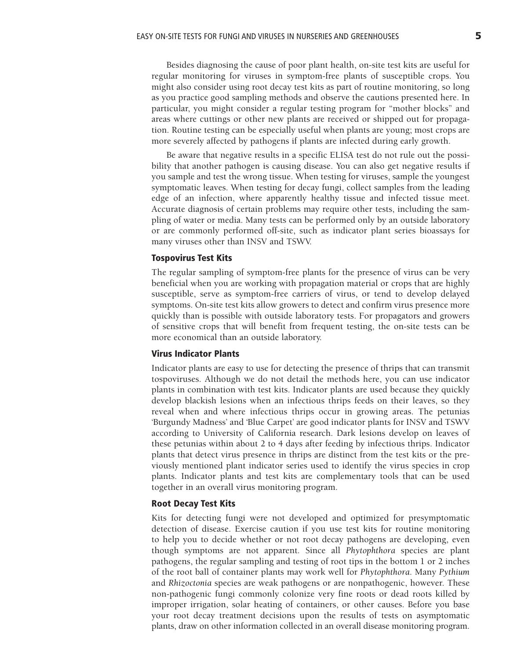Besides diagnosing the cause of poor plant health, on-site test kits are useful for regular monitoring for viruses in symptom-free plants of susceptible crops. You might also consider using root decay test kits as part of routine monitoring, so long as you practice good sampling methods and observe the cautions presented here. In particular, you might consider a regular testing program for "mother blocks" and areas where cuttings or other new plants are received or shipped out for propagation. Routine testing can be especially useful when plants are young; most crops are more severely affected by pathogens if plants are infected during early growth.

Be aware that negative results in a specific ELISA test do not rule out the possibility that another pathogen is causing disease. You can also get negative results if you sample and test the wrong tissue. When testing for viruses, sample the youngest symptomatic leaves. When testing for decay fungi, collect samples from the leading edge of an infection, where apparently healthy tissue and infected tissue meet. Accurate diagnosis of certain problems may require other tests, including the sampling of water or media. Many tests can be performed only by an outside laboratory or are commonly performed off-site, such as indicator plant series bioassays for many viruses other than INSV and TSWV.

#### **Tospovirus Test Kits**

The regular sampling of symptom-free plants for the presence of virus can be very beneficial when you are working with propagation material or crops that are highly susceptible, serve as symptom-free carriers of virus, or tend to develop delayed symptoms. On-site test kits allow growers to detect and confirm virus presence more quickly than is possible with outside laboratory tests. For propagators and growers of sensitive crops that will benefit from frequent testing, the on-site tests can be more economical than an outside laboratory.

#### **Virus Indicator Plants**

Indicator plants are easy to use for detecting the presence of thrips that can transmit tospoviruses. Although we do not detail the methods here, you can use indicator plants in combination with test kits. Indicator plants are used because they quickly develop blackish lesions when an infectious thrips feeds on their leaves, so they reveal when and where infectious thrips occur in growing areas. The petunias 'Burgundy Madness' and 'Blue Carpet' are good indicator plants for INSV and TSWV according to University of California research. Dark lesions develop on leaves of these petunias within about 2 to 4 days after feeding by infectious thrips. Indicator plants that detect virus presence in thrips are distinct from the test kits or the previously mentioned plant indicator series used to identify the virus species in crop plants. Indicator plants and test kits are complementary tools that can be used together in an overall virus monitoring program.

#### **Root Decay Test Kits**

Kits for detecting fungi were not developed and optimized for presymptomatic detection of disease. Exercise caution if you use test kits for routine monitoring to help you to decide whether or not root decay pathogens are developing, even though symptoms are not apparent. Since all *Phytophthora* species are plant pathogens, the regular sampling and testing of root tips in the bottom 1 or 2 inches of the root ball of container plants may work well for *Phytophthora*. Many *Pythium* and *Rhizoctonia* species are weak pathogens or are nonpathogenic, however. These non-pathogenic fungi commonly colonize very fine roots or dead roots killed by improper irrigation, solar heating of containers, or other causes. Before you base your root decay treatment decisions upon the results of tests on asymptomatic plants, draw on other information collected in an overall disease monitoring program.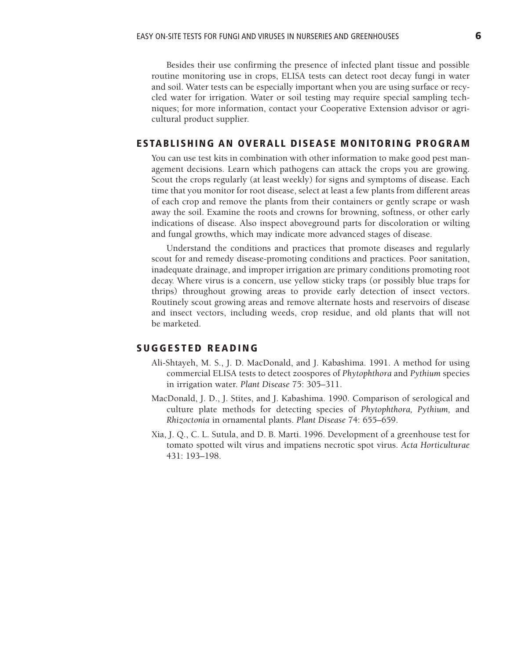Besides their use confirming the presence of infected plant tissue and possible routine monitoring use in crops, ELISA tests can detect root decay fungi in water and soil. Water tests can be especially important when you are using surface or recycled water for irrigation. Water or soil testing may require special sampling techniques; for more information, contact your Cooperative Extension advisor or agricultural product supplier.

## **ESTABLISHING AN OVERALL DISEASE MONITORING PROGRAM**

You can use test kits in combination with other information to make good pest management decisions. Learn which pathogens can attack the crops you are growing. Scout the crops regularly (at least weekly) for signs and symptoms of disease. Each time that you monitor for root disease, select at least a few plants from different areas of each crop and remove the plants from their containers or gently scrape or wash away the soil. Examine the roots and crowns for browning, softness, or other early indications of disease. Also inspect aboveground parts for discoloration or wilting and fungal growths, which may indicate more advanced stages of disease.

Understand the conditions and practices that promote diseases and regularly scout for and remedy disease-promoting conditions and practices. Poor sanitation, inadequate drainage, and improper irrigation are primary conditions promoting root decay. Where virus is a concern, use yellow sticky traps (or possibly blue traps for thrips) throughout growing areas to provide early detection of insect vectors. Routinely scout growing areas and remove alternate hosts and reservoirs of disease and insect vectors, including weeds, crop residue, and old plants that will not be marketed.

## **SUGGESTED READING**

- Ali-Shtayeh, M. S., J. D. MacDonald, and J. Kabashima. 1991. A method for using commercial ELISA tests to detect zoospores of *Phytophthora* and *Pythium* species in irrigation water. *Plant Disease* 75: 305–311.
- MacDonald, J. D., J. Stites, and J. Kabashima. 1990. Comparison of serological and culture plate methods for detecting species of *Phytophthora, Pythium,* and *Rhizoctonia* in ornamental plants. *Plant Disease* 74: 655–659.
- Xia, J. Q., C. L. Sutula, and D. B. Marti. 1996. Development of a greenhouse test for tomato spotted wilt virus and impatiens necrotic spot virus. *Acta Horticulturae* 431: 193–198.